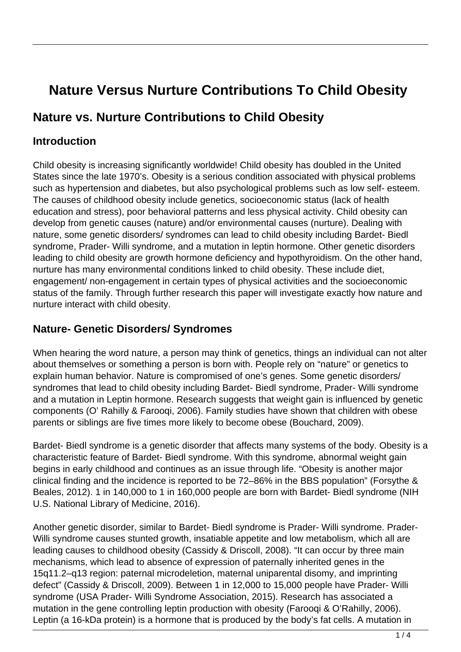# **Nature Versus Nurture Contributions To Child Obesity**

# **Nature vs. Nurture Contributions to Child Obesity**

#### **Introduction**

Child obesity is increasing significantly worldwide! Child obesity has doubled in the United States since the late 1970's. Obesity is a serious condition associated with physical problems such as hypertension and diabetes, but also psychological problems such as low self- esteem. The causes of childhood obesity include genetics, socioeconomic status (lack of health education and stress), poor behavioral patterns and less physical activity. Child obesity can develop from genetic causes (nature) and/or environmental causes (nurture). Dealing with nature, some genetic disorders/ syndromes can lead to child obesity including Bardet- Biedl syndrome, Prader- Willi syndrome, and a mutation in leptin hormone. Other genetic disorders leading to child obesity are growth hormone deficiency and hypothyroidism. On the other hand, nurture has many environmental conditions linked to child obesity. These include diet, engagement/ non-engagement in certain types of physical activities and the socioeconomic status of the family. Through further research this paper will investigate exactly how nature and nurture interact with child obesity.

#### **Nature- Genetic Disorders/ Syndromes**

When hearing the word nature, a person may think of genetics, things an individual can not alter about themselves or something a person is born with. People rely on "nature" or genetics to explain human behavior. Nature is compromised of one's genes. Some genetic disorders/ syndromes that lead to child obesity including Bardet- Biedl syndrome, Prader- Willi syndrome and a mutation in Leptin hormone. Research suggests that weight gain is influenced by genetic components (O' Rahilly & Farooqi, 2006). Family studies have shown that children with obese parents or siblings are five times more likely to become obese (Bouchard, 2009).

Bardet- Biedl syndrome is a genetic disorder that affects many systems of the body. Obesity is a characteristic feature of Bardet- Biedl syndrome. With this syndrome, abnormal weight gain begins in early childhood and continues as an issue through life. "Obesity is another major clinical finding and the incidence is reported to be 72–86% in the BBS population" (Forsythe & Beales, 2012). 1 in 140,000 to 1 in 160,000 people are born with Bardet- Biedl syndrome (NIH U.S. National Library of Medicine, 2016).

Another genetic disorder, similar to Bardet- Biedl syndrome is Prader- Willi syndrome. Prader-Willi syndrome causes stunted growth, insatiable appetite and low metabolism, which all are leading causes to childhood obesity (Cassidy & Driscoll, 2008). "It can occur by three main mechanisms, which lead to absence of expression of paternally inherited genes in the 15q11.2–q13 region: paternal microdeletion, maternal uniparental disomy, and imprinting defect" (Cassidy & Driscoll, 2009). Between 1 in 12,000 to 15,000 people have Prader- Willi syndrome (USA Prader- Willi Syndrome Association, 2015). Research has associated a mutation in the gene controlling leptin production with obesity (Farooqi & O'Rahilly, 2006). Leptin (a 16-kDa protein) is a hormone that is produced by the body's fat cells. A mutation in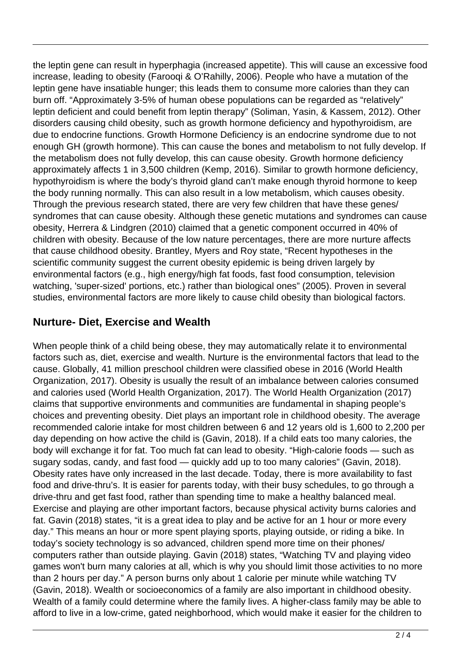the leptin gene can result in hyperphagia (increased appetite). This will cause an excessive food increase, leading to obesity (Farooqi & O'Rahilly, 2006). People who have a mutation of the leptin gene have insatiable hunger; this leads them to consume more calories than they can burn off. "Approximately 3-5% of human obese populations can be regarded as "relatively" leptin deficient and could benefit from leptin therapy" (Soliman, Yasin, & Kassem, 2012). Other disorders causing child obesity, such as growth hormone deficiency and hypothyroidism, are due to endocrine functions. Growth Hormone Deficiency is an endocrine syndrome due to not enough GH (growth hormone). This can cause the bones and metabolism to not fully develop. If the metabolism does not fully develop, this can cause obesity. Growth hormone deficiency approximately affects 1 in 3,500 children (Kemp, 2016). Similar to growth hormone deficiency, hypothyroidism is where the body's thyroid gland can't make enough thyroid hormone to keep the body running normally. This can also result in a low metabolism, which causes obesity. Through the previous research stated, there are very few children that have these genes/ syndromes that can cause obesity. Although these genetic mutations and syndromes can cause obesity, Herrera & Lindgren (2010) claimed that a genetic component occurred in 40% of children with obesity. Because of the low nature percentages, there are more nurture affects that cause childhood obesity. Brantley, Myers and Roy state, "Recent hypotheses in the scientific community suggest the current obesity epidemic is being driven largely by environmental factors (e.g., high energy/high fat foods, fast food consumption, television watching, 'super-sized' portions, etc.) rather than biological ones" (2005). Proven in several studies, environmental factors are more likely to cause child obesity than biological factors.

## **Nurture- Diet, Exercise and Wealth**

When people think of a child being obese, they may automatically relate it to environmental factors such as, diet, exercise and wealth. Nurture is the environmental factors that lead to the cause. Globally, 41 million preschool children were classified obese in 2016 (World Health Organization, 2017). Obesity is usually the result of an imbalance between calories consumed and calories used (World Health Organization, 2017). The World Health Organization (2017) claims that supportive environments and communities are fundamental in shaping people's choices and preventing obesity. Diet plays an important role in childhood obesity. The average recommended calorie intake for most children between 6 and 12 years old is 1,600 to 2,200 per day depending on how active the child is (Gavin, 2018). If a child eats too many calories, the body will exchange it for fat. Too much fat can lead to obesity. "High-calorie foods — such as sugary sodas, candy, and fast food — quickly add up to too many calories" (Gavin, 2018). Obesity rates have only increased in the last decade. Today, there is more availability to fast food and drive-thru's. It is easier for parents today, with their busy schedules, to go through a drive-thru and get fast food, rather than spending time to make a healthy balanced meal. Exercise and playing are other important factors, because physical activity burns calories and fat. Gavin (2018) states, "it is a great idea to play and be active for an 1 hour or more every day." This means an hour or more spent playing sports, playing outside, or riding a bike. In today's society technology is so advanced, children spend more time on their phones/ computers rather than outside playing. Gavin (2018) states, "Watching TV and playing video games won't burn many calories at all, which is why you should limit those activities to no more than 2 hours per day." A person burns only about 1 calorie per minute while watching TV (Gavin, 2018). Wealth or socioeconomics of a family are also important in childhood obesity. Wealth of a family could determine where the family lives. A higher-class family may be able to afford to live in a low-crime, gated neighborhood, which would make it easier for the children to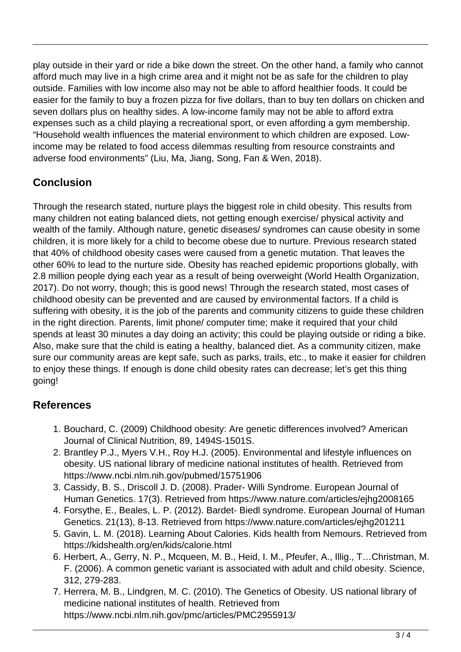play outside in their yard or ride a bike down the street. On the other hand, a family who cannot afford much may live in a high crime area and it might not be as safe for the children to play outside. Families with low income also may not be able to afford healthier foods. It could be easier for the family to buy a frozen pizza for five dollars, than to buy ten dollars on chicken and seven dollars plus on healthy sides. A low-income family may not be able to afford extra expenses such as a child playing a recreational sport, or even affording a gym membership. "Household wealth influences the material environment to which children are exposed. Lowincome may be related to food access dilemmas resulting from resource constraints and adverse food environments" (Liu, Ma, Jiang, Song, Fan & Wen, 2018).

# **Conclusion**

Through the research stated, nurture plays the biggest role in child obesity. This results from many children not eating balanced diets, not getting enough exercise/ physical activity and wealth of the family. Although nature, genetic diseases/ syndromes can cause obesity in some children, it is more likely for a child to become obese due to nurture. Previous research stated that 40% of childhood obesity cases were caused from a genetic mutation. That leaves the other 60% to lead to the nurture side. Obesity has reached epidemic proportions globally, with 2.8 million people dying each year as a result of being overweight (World Health Organization, 2017). Do not worry, though; this is good news! Through the research stated, most cases of childhood obesity can be prevented and are caused by environmental factors. If a child is suffering with obesity, it is the job of the parents and community citizens to guide these children in the right direction. Parents, limit phone/ computer time; make it required that your child spends at least 30 minutes a day doing an activity; this could be playing outside or riding a bike. Also, make sure that the child is eating a healthy, balanced diet. As a community citizen, make sure our community areas are kept safe, such as parks, trails, etc., to make it easier for children to enjoy these things. If enough is done child obesity rates can decrease; let's get this thing going!

### **References**

- 1. Bouchard, C. (2009) Childhood obesity: Are genetic differences involved? American Journal of Clinical Nutrition, 89, 1494S-1501S.
- 2. Brantley P.J., Myers V.H., Roy H.J. (2005). Environmental and lifestyle influences on obesity. US national library of medicine national institutes of health. Retrieved from https://www.ncbi.nlm.nih.gov/pubmed/15751906
- 3. Cassidy, B. S., Driscoll J. D. (2008). Prader- Willi Syndrome. European Journal of Human Genetics. 17(3). Retrieved from https://www.nature.com/articles/ejhg2008165
- 4. Forsythe, E., Beales, L. P. (2012). Bardet- Biedl syndrome. European Journal of Human Genetics. 21(13), 8-13. Retrieved from https://www.nature.com/articles/ejhg201211
- 5. Gavin, L. M. (2018). Learning About Calories. Kids health from Nemours. Retrieved from https://kidshealth.org/en/kids/calorie.html
- 6. Herbert, A., Gerry, N. P., Mcqueen, M. B., Heid, I. M., Pfeufer, A., Illig., T…Christman, M. F. (2006). A common genetic variant is associated with adult and child obesity. Science, 312, 279-283.
- 7. Herrera, M. B., Lindgren, M. C. (2010). The Genetics of Obesity. US national library of medicine national institutes of health. Retrieved from https://www.ncbi.nlm.nih.gov/pmc/articles/PMC2955913/